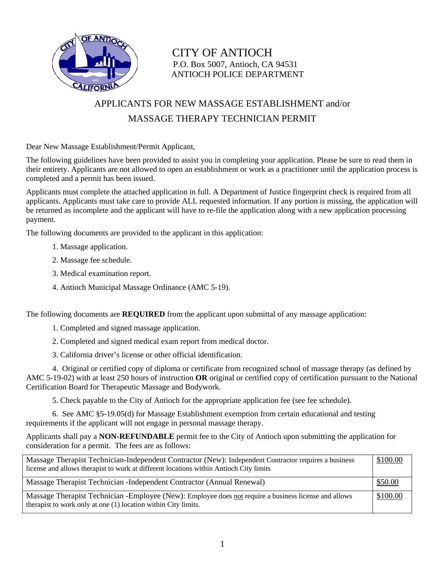

CITY OF ANTIOCH P.O. Box 5007, Antioch, CA 94531 ANTIOCH POLICE DEPARTMENT

## APPLICANTS FOR NEW MASSAGE ESTABLISHMENT and/or MASSAGE THERAPY TECHNICIAN PERMIT

Dear New Massage Establishment/Permit Applicant,

The following guidelines have been provided to assist you in completing your application. Please be sure to read them in their entirety. Applicants are not allowed to open an establishment or work as a practitioner until the application process is completed and a permit has been issued.

Applicants must complete the attached application in full. A Department of Justice fingerprint check is required from all applicants. Applicants must take care to provide ALL requested information. If any portion is missing, the application will be returned as incomplete and the applicant will have to re-file the application along with a new application processing payment.

The following documents are provided to the applicant in this application:

- 1. Massage application.
- 2. Massage fee schedule.
- 3. Medical examination report.
- 4. Antioch Municipal Massage Ordinance (AMC 5-19).

The following documents are **REQUIRED** from the applicant upon submittal of any massage application:

- 1. Completed and signed massage application.
- 2. Completed and signed medical exam report from medical doctor.
- 3. California driver's license or other official identification.

 4. Original or certified copy of diploma or certificate from recognized school of massage therapy (as defined by AMC 5-19-02) with at least 250 hours of instruction **OR** original or certified copy of certification pursuant to the National Certification Board for Therapeutic Massage and Bodywork.

5. Check payable to the City of Antioch for the appropriate application fee (see fee schedule).

 6. See AMC §5-19.05(d) for Massage Establishment exemption from certain educational and testing requirements if the applicant will not engage in personal massage therapy.

Applicants shall pay a **NON-REFUNDABLE** permit fee to the City of Antioch upon submitting the application for consideration for a permit. The fees are as follows:

| Massage Therapist Technician-Independent Contractor (New): Independent Contractor requires a business<br>license and allows therapist to work at different locations within Antioch City limits | \$100.00 |
|-------------------------------------------------------------------------------------------------------------------------------------------------------------------------------------------------|----------|
| Massage Therapist Technician - Independent Contractor (Annual Renewal)                                                                                                                          | \$50.00  |
| Massage Therapist Technician -Employee (New): Employee does not require a business license and allows<br>therapist to work only at one (1) location within City limits.                         | \$100.00 |